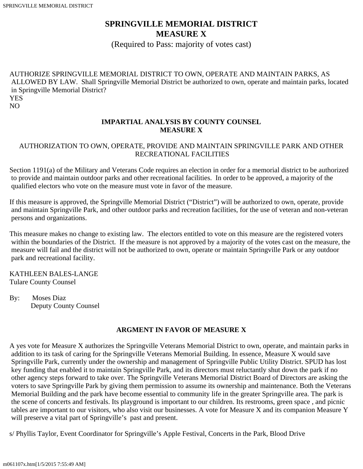# **SPRINGVILLE MEMORIAL DISTRICT MEASURE X**

(Required to Pass: majority of votes cast)

AUTHORIZE SPRINGVILLE MEMORIAL DISTRICT TO OWN, OPERATE AND MAINTAIN PARKS, AS ALLOWED BY LAW. Shall Springville Memorial District be authorized to own, operate and maintain parks, located in Springville Memorial District? **YES** NO

#### **IMPARTIAL ANALYSIS BY COUNTY COUNSEL MEASURE X**

#### AUTHORIZATION TO OWN, OPERATE, PROVIDE AND MAINTAIN SPRINGVILLE PARK AND OTHER RECREATIONAL FACILITIES

Section 1191(a) of the Military and Veterans Code requires an election in order for a memorial district to be authorized to provide and maintain outdoor parks and other recreational facilities. In order to be approved, a majority of the qualified electors who vote on the measure must vote in favor of the measure.

If this measure is approved, the Springville Memorial District ("District") will be authorized to own, operate, provide and maintain Springville Park, and other outdoor parks and recreation facilities, for the use of veteran and non-veteran persons and organizations.

This measure makes no change to existing law. The electors entitled to vote on this measure are the registered voters within the boundaries of the District. If the measure is not approved by a majority of the votes cast on the measure, the measure will fail and the district will not be authorized to own, operate or maintain Springville Park or any outdoor park and recreational facility.

KATHLEEN BALES-LANGE Tulare County Counsel

By: Moses Diaz Deputy County Counsel

### **ARGMENT IN FAVOR OF MEASURE X**

A yes vote for Measure X authorizes the Springville Veterans Memorial District to own, operate, and maintain parks in addition to its task of caring for the Springville Veterans Memorial Building. In essence, Measure X would save Springville Park, currently under the ownership and management of Springville Public Utility District. SPUD has lost key funding that enabled it to maintain Springville Park, and its directors must reluctantly shut down the park if no other agency steps forward to take over. The Springville Veterans Memorial District Board of Directors are asking the voters to save Springville Park by giving them permission to assume its ownership and maintenance. Both the Veterans Memorial Building and the park have become essential to community life in the greater Springville area. The park is the scene of concerts and festivals. Its playground is important to our children. Its restrooms, green space , and picnic tables are important to our visitors, who also visit our businesses. A vote for Measure X and its companion Measure Y will preserve a vital part of Springville's past and present.

s/ Phyllis Taylor, Event Coordinator for Springville's Apple Festival, Concerts in the Park, Blood Drive